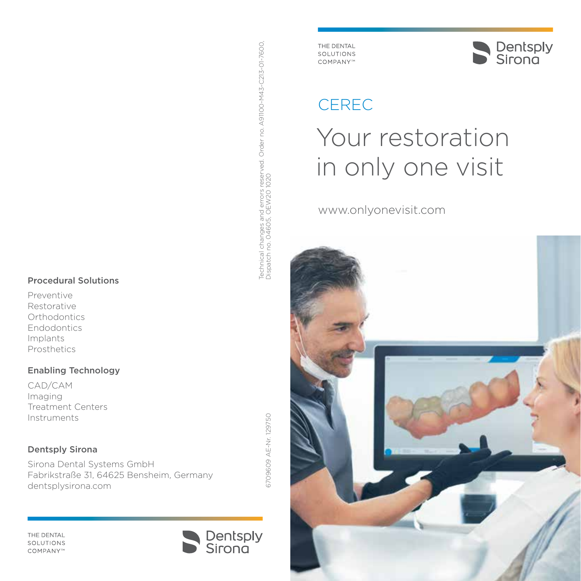#### Procedural Solutions

Preventive Restorative **Orthodontics** Endodontics Implants Prosthetics

#### Enabling Technology

CAD/CAM Imaging Treatment Centers Instruments

#### Dentsply Sirona

Sirona Dental Systems GmbH Fabrikstraße 31, 64625 Bensheim, Germany dentsplysirona.com

Technical changes and errors reserved. Order no. A91100-M43-C213-01-7600,

Technical changes and errors reserved. Order no. A91100-1443-C213-01-7600.<br>Dispatch no. 04605, OEW20 1020

Dispatch no. 04605, OEW20 1020

THE DENTAL **SOLUTIONS** COMPANY™



THE DENTAL SOLUTIONS COMPANY™



# CEREC

# Your restoration in only one visit

www.onlyonevisit.com